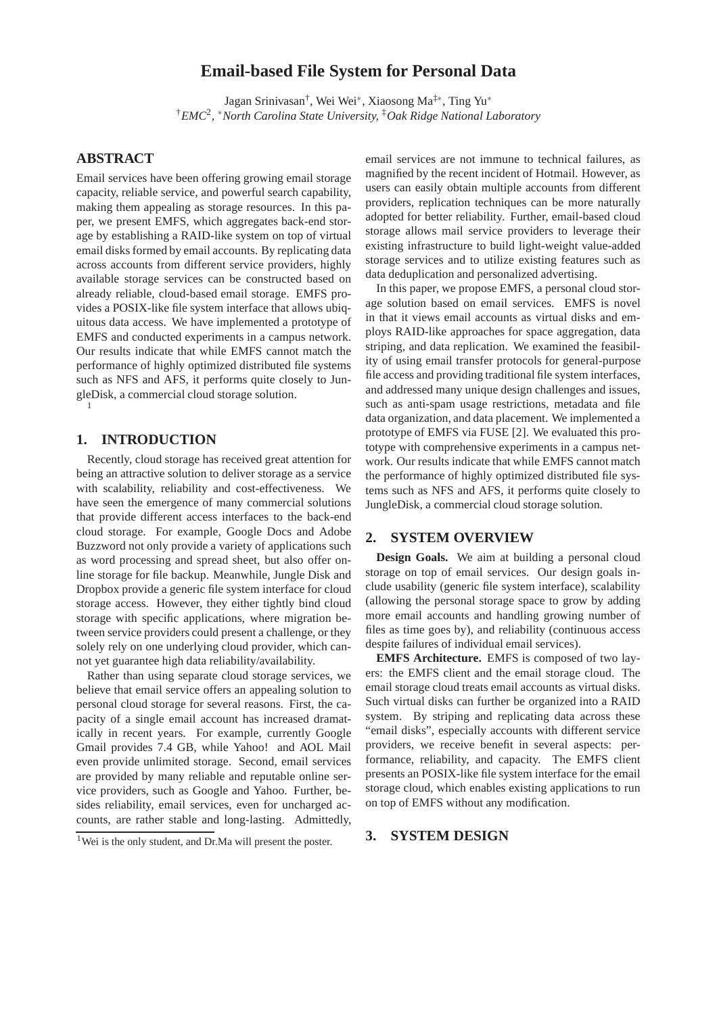# **Email-based File System for Personal Data**

Jagan Srinivasan† , Wei Wei<sup>∗</sup> , Xiaosong Ma‡<sup>∗</sup> , Ting Yu<sup>∗</sup> †*EMC*<sup>2</sup> *,* <sup>∗</sup>*North Carolina State University,* ‡*Oak Ridge National Laboratory*

# **ABSTRACT**

Email services have been offering growing email storage capacity, reliable service, and powerful search capability, making them appealing as storage resources. In this paper, we present EMFS, which aggregates back-end storage by establishing a RAID-like system on top of virtual email disks formed by email accounts. By replicating data across accounts from different service providers, highly available storage services can be constructed based on already reliable, cloud-based email storage. EMFS provides a POSIX-like file system interface that allows ubiquitous data access. We have implemented a prototype of EMFS and conducted experiments in a campus network. Our results indicate that while EMFS cannot match the performance of highly optimized distributed file systems such as NFS and AFS, it performs quite closely to JungleDisk, a commercial cloud storage solution. 1

### **1. INTRODUCTION**

Recently, cloud storage has received great attention for being an attractive solution to deliver storage as a service with scalability, reliability and cost-effectiveness. We have seen the emergence of many commercial solutions that provide different access interfaces to the back-end cloud storage. For example, Google Docs and Adobe Buzzword not only provide a variety of applications such as word processing and spread sheet, but also offer online storage for file backup. Meanwhile, Jungle Disk and Dropbox provide a generic file system interface for cloud storage access. However, they either tightly bind cloud storage with specific applications, where migration between service providers could present a challenge, or they solely rely on one underlying cloud provider, which cannot yet guarantee high data reliability/availability.

Rather than using separate cloud storage services, we believe that email service offers an appealing solution to personal cloud storage for several reasons. First, the capacity of a single email account has increased dramatically in recent years. For example, currently Google Gmail provides 7.4 GB, while Yahoo! and AOL Mail even provide unlimited storage. Second, email services are provided by many reliable and reputable online service providers, such as Google and Yahoo. Further, besides reliability, email services, even for uncharged accounts, are rather stable and long-lasting. Admittedly,

email services are not immune to technical failures, as magnified by the recent incident of Hotmail. However, as users can easily obtain multiple accounts from different providers, replication techniques can be more naturally adopted for better reliability. Further, email-based cloud storage allows mail service providers to leverage their existing infrastructure to build light-weight value-added storage services and to utilize existing features such as data deduplication and personalized advertising.

In this paper, we propose EMFS, a personal cloud storage solution based on email services. EMFS is novel in that it views email accounts as virtual disks and employs RAID-like approaches for space aggregation, data striping, and data replication. We examined the feasibility of using email transfer protocols for general-purpose file access and providing traditional file system interfaces, and addressed many unique design challenges and issues, such as anti-spam usage restrictions, metadata and file data organization, and data placement. We implemented a prototype of EMFS via FUSE [2]. We evaluated this prototype with comprehensive experiments in a campus network. Our results indicate that while EMFS cannot match the performance of highly optimized distributed file systems such as NFS and AFS, it performs quite closely to JungleDisk, a commercial cloud storage solution.

#### **2. SYSTEM OVERVIEW**

**Design Goals.** We aim at building a personal cloud storage on top of email services. Our design goals include usability (generic file system interface), scalability (allowing the personal storage space to grow by adding more email accounts and handling growing number of files as time goes by), and reliability (continuous access despite failures of individual email services).

**EMFS Architecture.** EMFS is composed of two layers: the EMFS client and the email storage cloud. The email storage cloud treats email accounts as virtual disks. Such virtual disks can further be organized into a RAID system. By striping and replicating data across these "email disks", especially accounts with different service providers, we receive benefit in several aspects: performance, reliability, and capacity. The EMFS client presents an POSIX-like file system interface for the email storage cloud, which enables existing applications to run on top of EMFS without any modification.

# **3. SYSTEM DESIGN**

<sup>&</sup>lt;sup>1</sup>Wei is the only student, and Dr.Ma will present the poster.